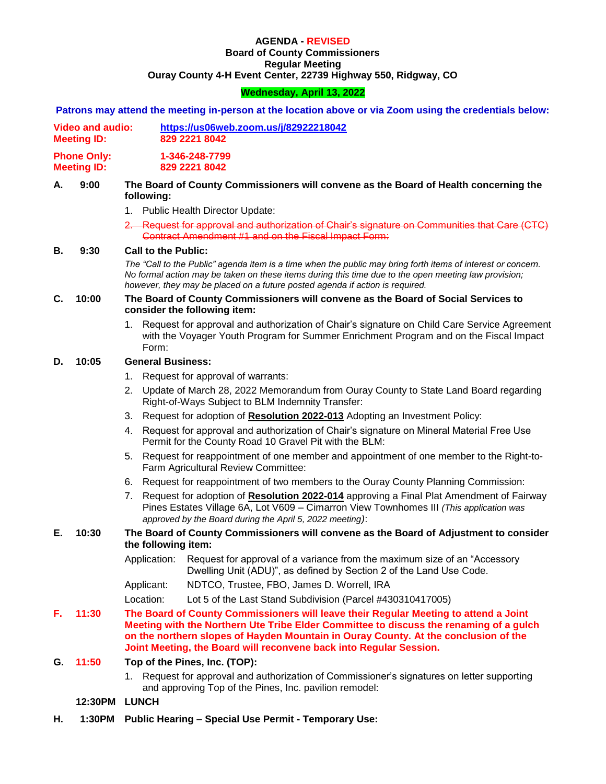## **AGENDA - REVISED**

# **Board of County Commissioners Regular Meeting Ouray County 4-H Event Center, 22739 Highway 550, Ridgway, CO**

# **Wednesday, April 13, 2022**

|            |                                               |                                                                                                                                                                                                                                                                                                      | Patrons may attend the meeting in-person at the location above or via Zoom using the credentials below:                                                                                                                                          |  |
|------------|-----------------------------------------------|------------------------------------------------------------------------------------------------------------------------------------------------------------------------------------------------------------------------------------------------------------------------------------------------------|--------------------------------------------------------------------------------------------------------------------------------------------------------------------------------------------------------------------------------------------------|--|
|            | <b>Video and audio:</b><br><b>Meeting ID:</b> | https://us06web.zoom.us/j/82922218042<br>829 2221 8042                                                                                                                                                                                                                                               |                                                                                                                                                                                                                                                  |  |
|            | <b>Phone Only:</b><br><b>Meeting ID:</b>      |                                                                                                                                                                                                                                                                                                      | 1-346-248-7799<br>829 2221 8042                                                                                                                                                                                                                  |  |
| 9:00<br>А. |                                               | The Board of County Commissioners will convene as the Board of Health concerning the<br>following:                                                                                                                                                                                                   |                                                                                                                                                                                                                                                  |  |
|            |                                               |                                                                                                                                                                                                                                                                                                      | 1. Public Health Director Update:                                                                                                                                                                                                                |  |
|            |                                               |                                                                                                                                                                                                                                                                                                      | 2. Request for approval and authorization of Chair's signature on Communities that Care (CTC)<br>Contract Amendment #1 and on the Fiscal Impact Form:                                                                                            |  |
| В.         | 9:30                                          | <b>Call to the Public:</b>                                                                                                                                                                                                                                                                           |                                                                                                                                                                                                                                                  |  |
|            |                                               | The "Call to the Public" agenda item is a time when the public may bring forth items of interest or concern.<br>No formal action may be taken on these items during this time due to the open meeting law provision;<br>however, they may be placed on a future posted agenda if action is required. |                                                                                                                                                                                                                                                  |  |
| C.         | 10:00                                         | The Board of County Commissioners will convene as the Board of Social Services to<br>consider the following item:                                                                                                                                                                                    |                                                                                                                                                                                                                                                  |  |
|            |                                               | 1.<br>Form:                                                                                                                                                                                                                                                                                          | Request for approval and authorization of Chair's signature on Child Care Service Agreement<br>with the Voyager Youth Program for Summer Enrichment Program and on the Fiscal Impact                                                             |  |
| D.         | 10:05                                         | <b>General Business:</b>                                                                                                                                                                                                                                                                             |                                                                                                                                                                                                                                                  |  |
|            |                                               | 1.                                                                                                                                                                                                                                                                                                   | Request for approval of warrants:                                                                                                                                                                                                                |  |
|            |                                               | 2.                                                                                                                                                                                                                                                                                                   | Update of March 28, 2022 Memorandum from Ouray County to State Land Board regarding<br>Right-of-Ways Subject to BLM Indemnity Transfer:                                                                                                          |  |
|            |                                               |                                                                                                                                                                                                                                                                                                      | 3. Request for adoption of Resolution 2022-013 Adopting an Investment Policy:                                                                                                                                                                    |  |
|            |                                               | 4.                                                                                                                                                                                                                                                                                                   | Request for approval and authorization of Chair's signature on Mineral Material Free Use<br>Permit for the County Road 10 Gravel Pit with the BLM:                                                                                               |  |
|            |                                               |                                                                                                                                                                                                                                                                                                      | 5. Request for reappointment of one member and appointment of one member to the Right-to-<br>Farm Agricultural Review Committee:                                                                                                                 |  |
|            |                                               |                                                                                                                                                                                                                                                                                                      | 6. Request for reappointment of two members to the Ouray County Planning Commission:                                                                                                                                                             |  |
|            |                                               |                                                                                                                                                                                                                                                                                                      | 7. Request for adoption of Resolution 2022-014 approving a Final Plat Amendment of Fairway<br>Pines Estates Village 6A, Lot V609 - Cimarron View Townhomes III (This application was<br>approved by the Board during the April 5, 2022 meeting): |  |
| Е.         | 10:30                                         | The Board of County Commissioners will convene as the Board of Adjustment to consider<br>the following item:                                                                                                                                                                                         |                                                                                                                                                                                                                                                  |  |
|            |                                               | Application:                                                                                                                                                                                                                                                                                         | Request for approval of a variance from the maximum size of an "Accessory<br>Dwelling Unit (ADU)", as defined by Section 2 of the Land Use Code.                                                                                                 |  |
|            |                                               | Applicant:                                                                                                                                                                                                                                                                                           | NDTCO, Trustee, FBO, James D. Worrell, IRA                                                                                                                                                                                                       |  |
|            |                                               | Location:                                                                                                                                                                                                                                                                                            | Lot 5 of the Last Stand Subdivision (Parcel #430310417005)                                                                                                                                                                                       |  |
| F.         | 11:30                                         | The Board of County Commissioners will leave their Regular Meeting to attend a Joint<br>Meeting with the Northern Ute Tribe Elder Committee to discuss the renaming of a gulch<br>on the northern slopes of Hayden Mountain in Ouray County. At the conclusion of the                                |                                                                                                                                                                                                                                                  |  |

# **G. 11:50 Top of the Pines, Inc. (TOP):**

1. Request for approval and authorization of Commissioner's signatures on letter supporting and approving Top of the Pines, Inc. pavilion remodel:

**Joint Meeting, the Board will reconvene back into Regular Session.** 

- **12:30PM LUNCH**
- **H. 1:30PM Public Hearing – Special Use Permit - Temporary Use:**